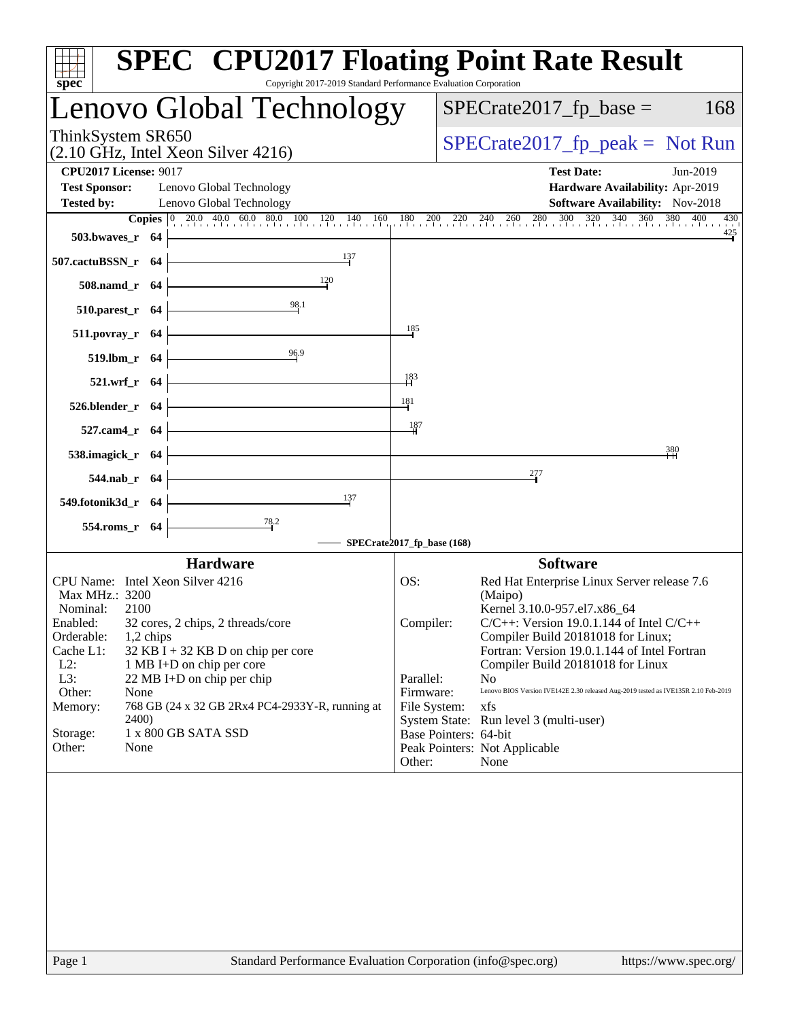| $spec^*$                                                                  |           |                                                         | <b>SPEC<sup>®</sup> CPU2017 Floating Point Rate Result</b><br>Copyright 2017-2019 Standard Performance Evaluation Corporation                                               |                                 |                                                                                           |                       |
|---------------------------------------------------------------------------|-----------|---------------------------------------------------------|-----------------------------------------------------------------------------------------------------------------------------------------------------------------------------|---------------------------------|-------------------------------------------------------------------------------------------|-----------------------|
|                                                                           |           |                                                         | Lenovo Global Technology                                                                                                                                                    |                                 | $SPECrate2017_fp\_base =$                                                                 | 168                   |
| ThinkSystem SR650                                                         |           | $(2.10 \text{ GHz}, \text{Intel Xeon Silver } 4216)$    |                                                                                                                                                                             |                                 | $SPECrate2017_fp\_peak = Not Run$                                                         |                       |
| <b>CPU2017 License: 9017</b><br><b>Test Sponsor:</b><br><b>Tested by:</b> |           | Lenovo Global Technology<br>Lenovo Global Technology    |                                                                                                                                                                             |                                 | <b>Test Date:</b><br>Hardware Availability: Apr-2019<br>Software Availability: Nov-2018   | Jun-2019              |
| 503.bwayes_r 64                                                           |           |                                                         | <b>Copies</b> $\begin{bmatrix} 0 & 20.0 & 40.0 & 60.0 & 80.0 & 100 & 120 & 140 & 160 & 180 & 200 & 220 & 240 & 260 & 280 & 300 & 320 & 340 & 360 & 380 & 400 \end{bmatrix}$ |                                 |                                                                                           | 430<br>425            |
| 507.cactuBSSN_r 64                                                        |           |                                                         | 137                                                                                                                                                                         |                                 |                                                                                           |                       |
| 508.namd_r 64                                                             |           |                                                         | 120                                                                                                                                                                         |                                 |                                                                                           |                       |
| $510.parest_r$ 64                                                         |           |                                                         | 98.1                                                                                                                                                                        |                                 |                                                                                           |                       |
| $511. povray_r$ 64                                                        |           |                                                         |                                                                                                                                                                             | 185                             |                                                                                           |                       |
| 519.lbm_r 64                                                              |           |                                                         | 96.9                                                                                                                                                                        |                                 |                                                                                           |                       |
| 521.wrf_r 64                                                              |           |                                                         |                                                                                                                                                                             | $\frac{183}{1}$                 |                                                                                           |                       |
| 526.blender_r 64                                                          |           |                                                         |                                                                                                                                                                             | 181                             |                                                                                           |                       |
| 527.cam4_r 64                                                             |           |                                                         |                                                                                                                                                                             | $\frac{187}{2}$                 |                                                                                           |                       |
| 538.imagick_r 64                                                          |           |                                                         |                                                                                                                                                                             |                                 |                                                                                           | 380                   |
| 544.nab_r 64                                                              |           |                                                         |                                                                                                                                                                             |                                 | 277                                                                                       |                       |
| 549.fotonik3d_r 64                                                        |           |                                                         | 137                                                                                                                                                                         |                                 |                                                                                           |                       |
| 554.roms_r 64                                                             |           |                                                         | $\frac{78.2}{4}$                                                                                                                                                            |                                 |                                                                                           |                       |
|                                                                           |           |                                                         | SPECrate2017_fp_base (168)                                                                                                                                                  |                                 |                                                                                           |                       |
| CPU Name: Intel Xeon Silver 4216                                          |           | <b>Hardware</b>                                         |                                                                                                                                                                             | OS:                             | <b>Software</b><br>Red Hat Enterprise Linux Server release 7.6                            |                       |
| Max MHz.: 3200<br>Nominal:                                                | 2100      |                                                         |                                                                                                                                                                             |                                 | (Maipo)<br>Kernel 3.10.0-957.el7.x86_64                                                   |                       |
| Enabled:<br>Orderable:                                                    | 1,2 chips | 32 cores, 2 chips, 2 threads/core                       |                                                                                                                                                                             | Compiler:                       | $C/C++$ : Version 19.0.1.144 of Intel $C/C++$<br>Compiler Build 20181018 for Linux;       |                       |
| Cache L1:                                                                 |           | $32$ KB I + 32 KB D on chip per core                    |                                                                                                                                                                             |                                 | Fortran: Version 19.0.1.144 of Intel Fortran                                              |                       |
| $L2$ :<br>L3:                                                             |           | 1 MB I+D on chip per core<br>22 MB I+D on chip per chip |                                                                                                                                                                             | Parallel:                       | Compiler Build 20181018 for Linux<br>N <sub>0</sub>                                       |                       |
| Other:<br>Memory:                                                         | None      |                                                         | 768 GB (24 x 32 GB 2Rx4 PC4-2933Y-R, running at                                                                                                                             | Firmware:<br>File System:       | Lenovo BIOS Version IVE142E 2.30 released Aug-2019 tested as IVE135R 2.10 Feb-2019<br>xfs |                       |
| Storage:                                                                  | 2400)     | 1 x 800 GB SATA SSD                                     |                                                                                                                                                                             |                                 | System State: Run level 3 (multi-user)                                                    |                       |
| Other:                                                                    | None      |                                                         |                                                                                                                                                                             | Base Pointers: 64-bit<br>Other: | Peak Pointers: Not Applicable<br>None                                                     |                       |
| Page 1                                                                    |           |                                                         | Standard Performance Evaluation Corporation (info@spec.org)                                                                                                                 |                                 |                                                                                           | https://www.spec.org/ |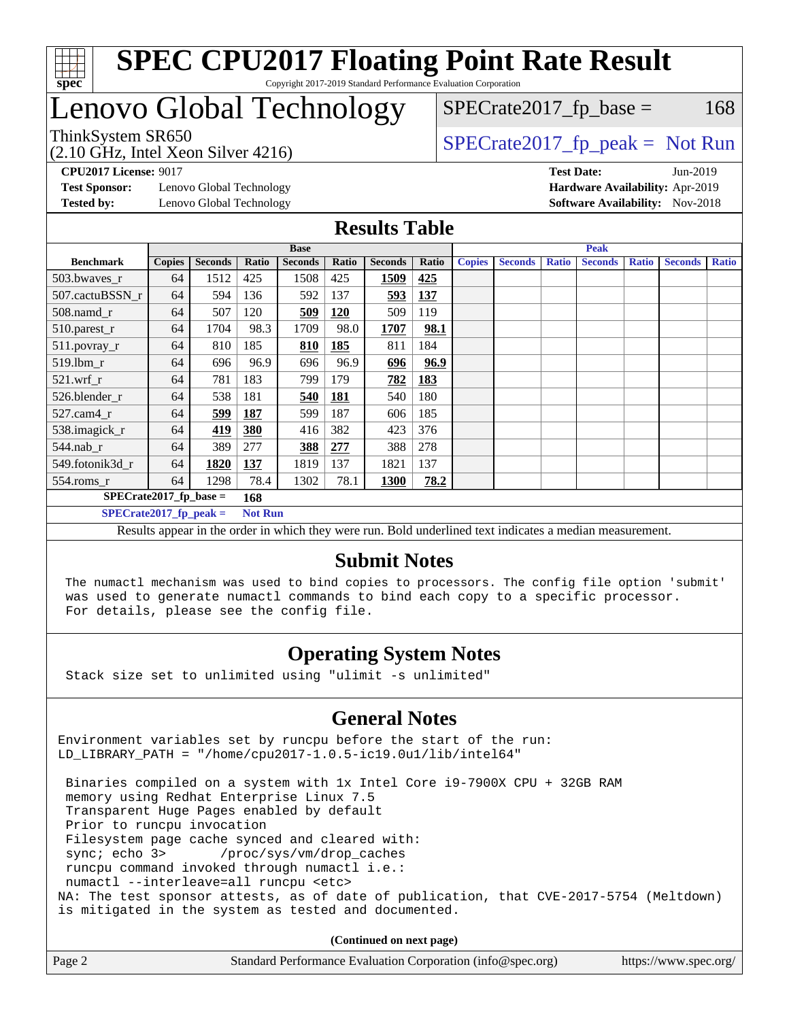

# Lenovo Global Technology

(2.10 GHz, Intel Xeon Silver 4216)

ThinkSystem SR650  $SPIz$ , Intel Year, Silver 4216)

 $SPECTate2017<sub>fr</sub> base = 168$ 

**[Test Sponsor:](http://www.spec.org/auto/cpu2017/Docs/result-fields.html#TestSponsor)** Lenovo Global Technology **[Hardware Availability:](http://www.spec.org/auto/cpu2017/Docs/result-fields.html#HardwareAvailability)** Apr-2019

**[CPU2017 License:](http://www.spec.org/auto/cpu2017/Docs/result-fields.html#CPU2017License)** 9017 **[Test Date:](http://www.spec.org/auto/cpu2017/Docs/result-fields.html#TestDate)** Jun-2019 **[Tested by:](http://www.spec.org/auto/cpu2017/Docs/result-fields.html#Testedby)** Lenovo Global Technology **[Software Availability:](http://www.spec.org/auto/cpu2017/Docs/result-fields.html#SoftwareAvailability)** Nov-2018

### **[Results Table](http://www.spec.org/auto/cpu2017/Docs/result-fields.html#ResultsTable)**

|                           | <b>Base</b>              |                |            |                |            | <b>Peak</b>    |       |               |                |              |                |              |                |              |
|---------------------------|--------------------------|----------------|------------|----------------|------------|----------------|-------|---------------|----------------|--------------|----------------|--------------|----------------|--------------|
| <b>Benchmark</b>          | <b>Copies</b>            | <b>Seconds</b> | Ratio      | <b>Seconds</b> | Ratio      | <b>Seconds</b> | Ratio | <b>Copies</b> | <b>Seconds</b> | <b>Ratio</b> | <b>Seconds</b> | <b>Ratio</b> | <b>Seconds</b> | <b>Ratio</b> |
| 503.bwayes r              | 64                       | 1512           | 425        | 1508           | 425        | 1509           | 425   |               |                |              |                |              |                |              |
| 507.cactuBSSN r           | 64                       | 594            | 136        | 592            | 137        | 593            | 137   |               |                |              |                |              |                |              |
| $508$ .namd $r$           | 64                       | 507            | 120        | 509            | <b>120</b> | 509            | 119   |               |                |              |                |              |                |              |
| 510.parest_r              | 64                       | 1704           | 98.3       | 1709           | 98.0       | 1707           | 98.1  |               |                |              |                |              |                |              |
| 511.povray_r              | 64                       | 810            | 185        | 810            | 185        | 811            | 184   |               |                |              |                |              |                |              |
| 519.lbm r                 | 64                       | 696            | 96.9       | 696            | 96.9       | 696            | 96.9  |               |                |              |                |              |                |              |
| $521$ .wrf r              | 64                       | 781            | 183        | 799            | 179        | 782            | 183   |               |                |              |                |              |                |              |
| 526.blender_r             | 64                       | 538            | 181        | 540            | <b>181</b> | 540            | 180   |               |                |              |                |              |                |              |
| $527$ .cam $4r$           | 64                       | 599            | <b>187</b> | 599            | 187        | 606            | 185   |               |                |              |                |              |                |              |
| 538.imagick_r             | 64                       | 419            | 380        | 416            | 382        | 423            | 376   |               |                |              |                |              |                |              |
| $544$ .nab r              | 64                       | 389            | 277        | 388            | 277        | 388            | 278   |               |                |              |                |              |                |              |
| 549.fotonik3d r           | 64                       | 1820           | <b>137</b> | 1819           | 137        | 1821           | 137   |               |                |              |                |              |                |              |
| $554$ .roms_r             | 64                       | 1298           | 78.4       | 1302           | 78.1       | <b>1300</b>    | 78.2  |               |                |              |                |              |                |              |
|                           | $SPECrate2017$ fp base = |                |            |                |            |                |       |               |                |              |                |              |                |              |
| $SPECrate2017_fp\_peak =$ |                          | <b>Not Run</b> |            |                |            |                |       |               |                |              |                |              |                |              |

Results appear in the [order in which they were run.](http://www.spec.org/auto/cpu2017/Docs/result-fields.html#RunOrder) Bold underlined text [indicates a median measurement.](http://www.spec.org/auto/cpu2017/Docs/result-fields.html#Median)

### **[Submit Notes](http://www.spec.org/auto/cpu2017/Docs/result-fields.html#SubmitNotes)**

 The numactl mechanism was used to bind copies to processors. The config file option 'submit' was used to generate numactl commands to bind each copy to a specific processor. For details, please see the config file.

### **[Operating System Notes](http://www.spec.org/auto/cpu2017/Docs/result-fields.html#OperatingSystemNotes)**

Stack size set to unlimited using "ulimit -s unlimited"

### **[General Notes](http://www.spec.org/auto/cpu2017/Docs/result-fields.html#GeneralNotes)**

Environment variables set by runcpu before the start of the run: LD\_LIBRARY\_PATH = "/home/cpu2017-1.0.5-ic19.0u1/lib/intel64"

 Binaries compiled on a system with 1x Intel Core i9-7900X CPU + 32GB RAM memory using Redhat Enterprise Linux 7.5 Transparent Huge Pages enabled by default Prior to runcpu invocation Filesystem page cache synced and cleared with: sync; echo 3> /proc/sys/vm/drop\_caches runcpu command invoked through numactl i.e.: numactl --interleave=all runcpu <etc> NA: The test sponsor attests, as of date of publication, that CVE-2017-5754 (Meltdown) is mitigated in the system as tested and documented.

**(Continued on next page)**

| Page 2 | Standard Performance Evaluation Corporation (info@spec.org) | https://www.spec.org/ |
|--------|-------------------------------------------------------------|-----------------------|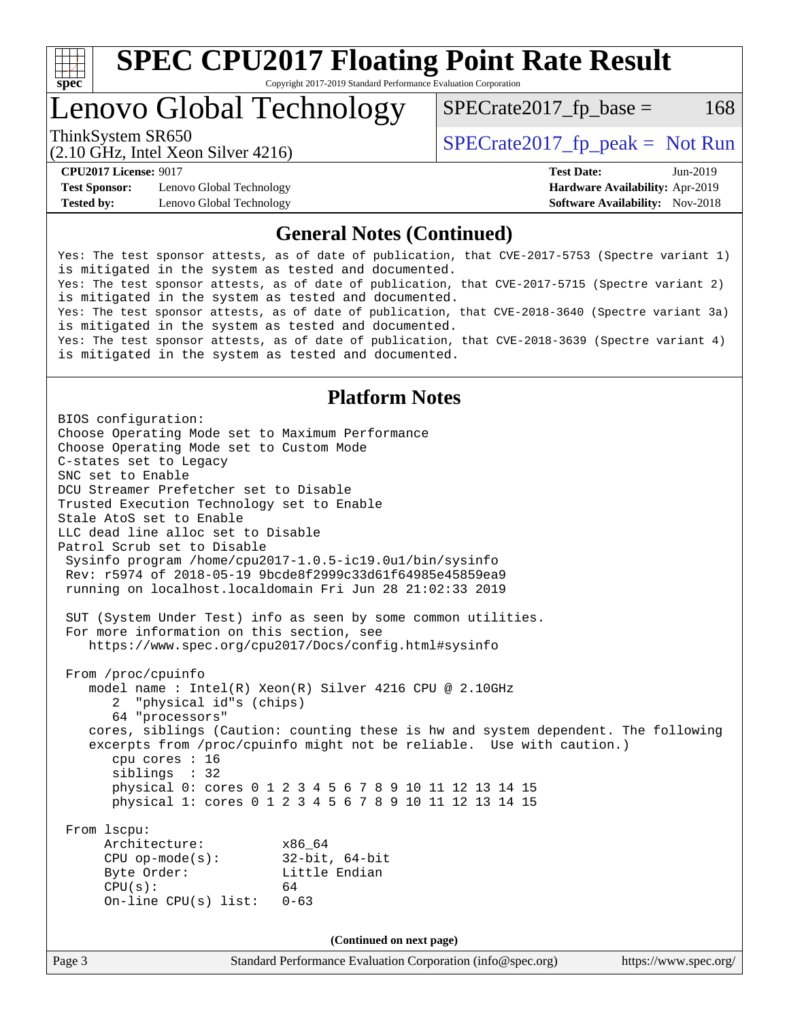

# Lenovo Global Technology

 $SPECTate2017<sub>fr</sub> base = 168$ 

(2.10 GHz, Intel Xeon Silver 4216)

ThinkSystem SR650  $SPECrate2017$  fp\_peak = Not Run

**[Test Sponsor:](http://www.spec.org/auto/cpu2017/Docs/result-fields.html#TestSponsor)** Lenovo Global Technology **[Hardware Availability:](http://www.spec.org/auto/cpu2017/Docs/result-fields.html#HardwareAvailability)** Apr-2019 **[Tested by:](http://www.spec.org/auto/cpu2017/Docs/result-fields.html#Testedby)** Lenovo Global Technology **[Software Availability:](http://www.spec.org/auto/cpu2017/Docs/result-fields.html#SoftwareAvailability)** Nov-2018

**[CPU2017 License:](http://www.spec.org/auto/cpu2017/Docs/result-fields.html#CPU2017License)** 9017 **[Test Date:](http://www.spec.org/auto/cpu2017/Docs/result-fields.html#TestDate)** Jun-2019

### **[General Notes \(Continued\)](http://www.spec.org/auto/cpu2017/Docs/result-fields.html#GeneralNotes)**

Yes: The test sponsor attests, as of date of publication, that CVE-2017-5753 (Spectre variant 1) is mitigated in the system as tested and documented. Yes: The test sponsor attests, as of date of publication, that CVE-2017-5715 (Spectre variant 2) is mitigated in the system as tested and documented. Yes: The test sponsor attests, as of date of publication, that CVE-2018-3640 (Spectre variant 3a) is mitigated in the system as tested and documented. Yes: The test sponsor attests, as of date of publication, that CVE-2018-3639 (Spectre variant 4) is mitigated in the system as tested and documented.

### **[Platform Notes](http://www.spec.org/auto/cpu2017/Docs/result-fields.html#PlatformNotes)**

Page 3 Standard Performance Evaluation Corporation [\(info@spec.org\)](mailto:info@spec.org) <https://www.spec.org/> BIOS configuration: Choose Operating Mode set to Maximum Performance Choose Operating Mode set to Custom Mode C-states set to Legacy SNC set to Enable DCU Streamer Prefetcher set to Disable Trusted Execution Technology set to Enable Stale AtoS set to Enable LLC dead line alloc set to Disable Patrol Scrub set to Disable Sysinfo program /home/cpu2017-1.0.5-ic19.0u1/bin/sysinfo Rev: r5974 of 2018-05-19 9bcde8f2999c33d61f64985e45859ea9 running on localhost.localdomain Fri Jun 28 21:02:33 2019 SUT (System Under Test) info as seen by some common utilities. For more information on this section, see <https://www.spec.org/cpu2017/Docs/config.html#sysinfo> From /proc/cpuinfo model name : Intel(R) Xeon(R) Silver 4216 CPU @ 2.10GHz 2 "physical id"s (chips) 64 "processors" cores, siblings (Caution: counting these is hw and system dependent. The following excerpts from /proc/cpuinfo might not be reliable. Use with caution.) cpu cores : 16 siblings : 32 physical 0: cores 0 1 2 3 4 5 6 7 8 9 10 11 12 13 14 15 physical 1: cores 0 1 2 3 4 5 6 7 8 9 10 11 12 13 14 15 From lscpu: Architecture: x86\_64 CPU op-mode(s): 32-bit, 64-bit Byte Order: Little Endian  $CPU(s):$  64 On-line CPU(s) list: 0-63 **(Continued on next page)**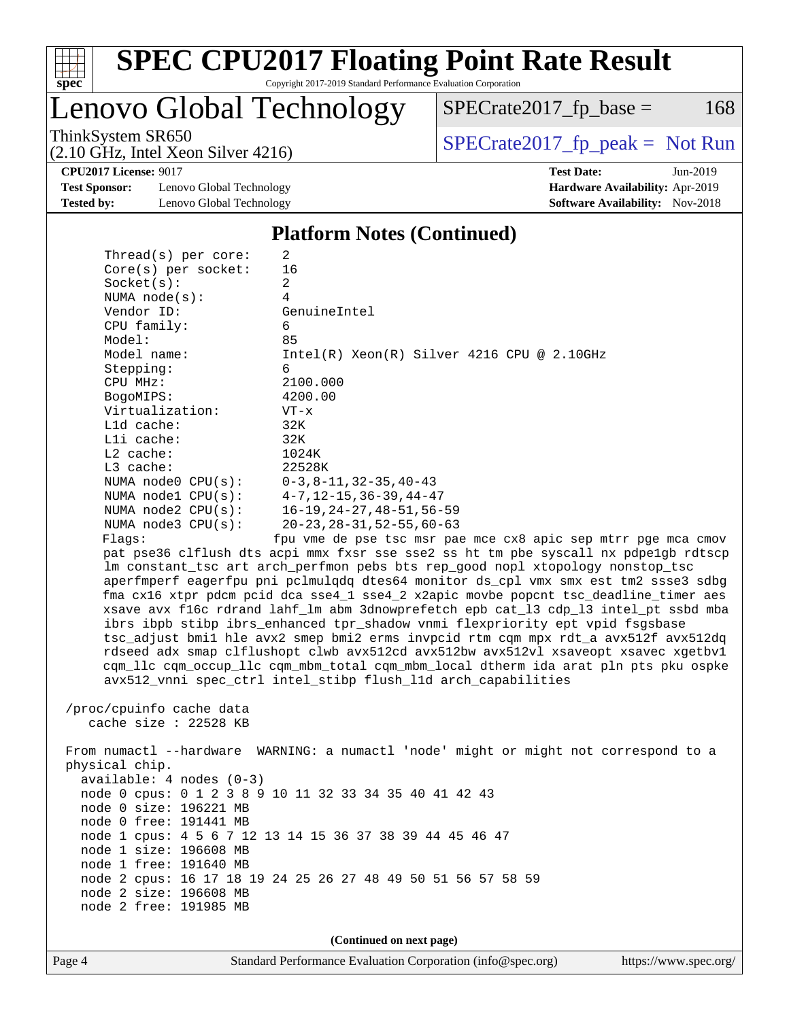

Lenovo Global Technology

 $SPECTate2017<sub>fr</sub> base = 168$ 

(2.10 GHz, Intel Xeon Silver 4216)

ThinkSystem SR650<br>  $(2.10 \text{ GHz. Intel Yoon Silver } 4216)$  [SPECrate2017\\_fp\\_peak =](http://www.spec.org/auto/cpu2017/Docs/result-fields.html#SPECrate2017fppeak) Not Run

**[CPU2017 License:](http://www.spec.org/auto/cpu2017/Docs/result-fields.html#CPU2017License)** 9017 **[Test Date:](http://www.spec.org/auto/cpu2017/Docs/result-fields.html#TestDate)** Jun-2019

**[Test Sponsor:](http://www.spec.org/auto/cpu2017/Docs/result-fields.html#TestSponsor)** Lenovo Global Technology **[Hardware Availability:](http://www.spec.org/auto/cpu2017/Docs/result-fields.html#HardwareAvailability)** Apr-2019 **[Tested by:](http://www.spec.org/auto/cpu2017/Docs/result-fields.html#Testedby)** Lenovo Global Technology **[Software Availability:](http://www.spec.org/auto/cpu2017/Docs/result-fields.html#SoftwareAvailability)** Nov-2018

**[Platform Notes \(Continued\)](http://www.spec.org/auto/cpu2017/Docs/result-fields.html#PlatformNotes)**

| Thread( $s$ ) per core:                        | 2                                                                                    |
|------------------------------------------------|--------------------------------------------------------------------------------------|
| $Core(s)$ per socket:                          | 16                                                                                   |
| Socket(s):                                     | 2                                                                                    |
| NUMA $node(s)$ :                               | 4                                                                                    |
| Vendor ID:                                     | GenuineIntel                                                                         |
| CPU family:                                    | 6                                                                                    |
| Model:                                         | 85                                                                                   |
| Model name:                                    | $Intel(R)$ Xeon $(R)$ Silver 4216 CPU @ 2.10GHz                                      |
| Stepping:                                      | 6                                                                                    |
| CPU MHz:                                       | 2100.000                                                                             |
| BogoMIPS:                                      | 4200.00                                                                              |
| Virtualization:                                | $VT - x$                                                                             |
| $L1d$ cache:                                   | 32K                                                                                  |
| Lli cache:                                     | 32K                                                                                  |
| $L2$ cache:                                    | 1024K                                                                                |
| $L3$ cache:                                    | 22528K                                                                               |
| NUMA node0 $CPU(s):$ $0-3, 8-11, 32-35, 40-43$ |                                                                                      |
| NUMA nodel CPU(s): 4-7, 12-15, 36-39, 44-47    |                                                                                      |
| NUMA $node2$ $CPU(s):$                         | 16–19,24–27,48–51,56–59                                                              |
| NUMA $node3$ $CPU(s):$                         | $20 - 23$ , $28 - 31$ , $52 - 55$ , $60 - 63$                                        |
| Flaqs:                                         | fpu vme de pse tsc msr pae mce cx8 apic sep mtrr pge mca cmov                        |
|                                                | pat pse36 clflush dts acpi mmx fxsr sse sse2 ss ht tm pbe syscall nx pdpe1qb rdtscp  |
|                                                | Im constant tsc art arch perfmon pebs bts rep good nopl xtopology nonstop tsc        |
|                                                | aperfmperf eagerfpu pni pclmulgdg dtes64 monitor ds cpl vmx smx est tm2 ssse3 sdbg   |
|                                                | fma cx16 xtpr pdcm pcid dca sse4_1 sse4_2 x2apic movbe popcnt tsc_deadline_timer aes |
|                                                | xsave avx f16c rdrand lahf_lm abm 3dnowprefetch epb cat_13 cdp_13 intel_pt ssbd mba  |
|                                                | ibrs ibpb stibp ibrs_enhanced tpr_shadow vnmi flexpriority ept vpid fsgsbase         |
|                                                | tsc_adjust bmil hle avx2 smep bmi2 erms invpcid rtm cqm mpx rdt_a avx512f avx512dq   |
|                                                | rdseed adx smap clflushopt clwb avx512cd avx512bw avx512vl xsaveopt xsavec xgetbyl   |
|                                                | com lle com occup lle com mbm total com mbm local dtherm ida arat pln pts pku ospke  |

/proc/cpuinfo cache data

cache size : 22528 KB

 From numactl --hardware WARNING: a numactl 'node' might or might not correspond to a physical chip. available: 4 nodes (0-3) node 0 cpus: 0 1 2 3 8 9 10 11 32 33 34 35 40 41 42 43 node 0 size: 196221 MB node 0 free: 191441 MB node 1 cpus: 4 5 6 7 12 13 14 15 36 37 38 39 44 45 46 47 node 1 size: 196608 MB node 1 free: 191640 MB node 2 cpus: 16 17 18 19 24 25 26 27 48 49 50 51 56 57 58 59 node 2 size: 196608 MB node 2 free: 191985 MB

avx512\_vnni spec\_ctrl intel\_stibp flush\_l1d arch\_capabilities

**(Continued on next page)**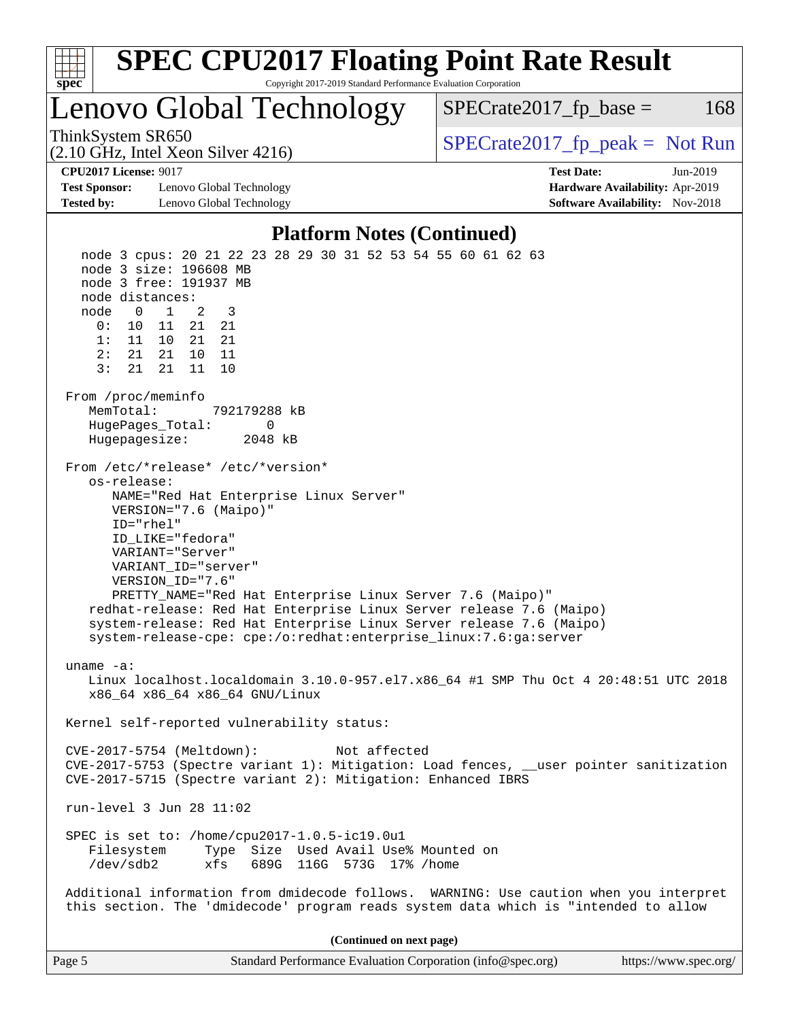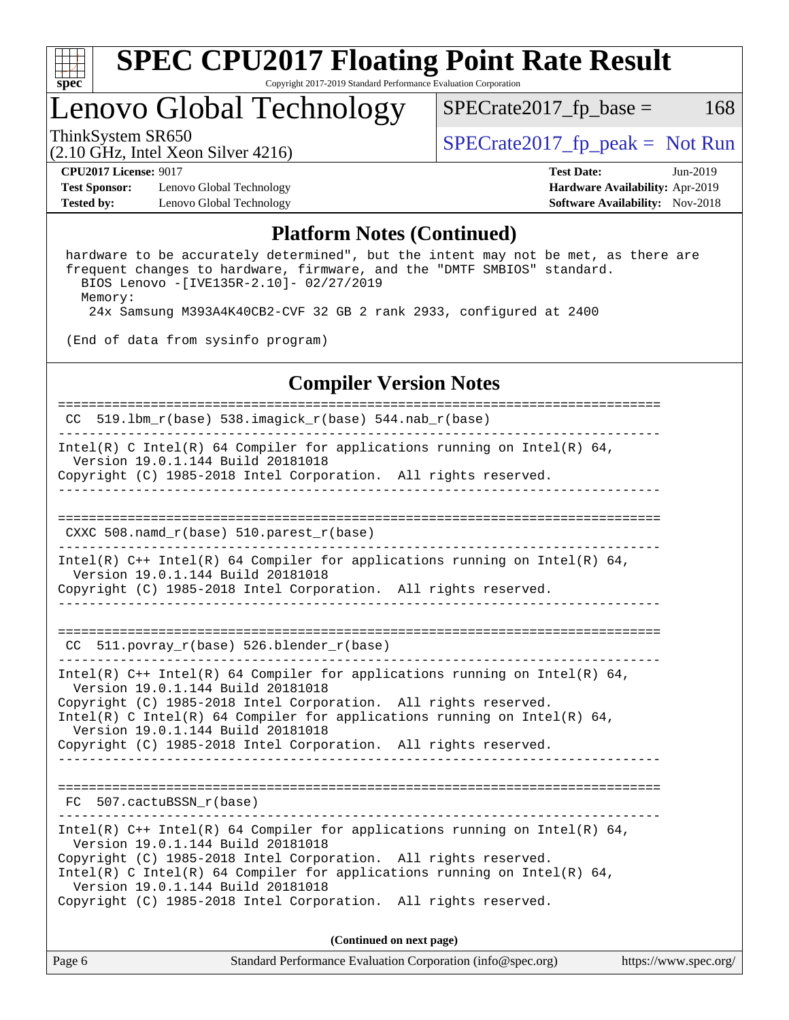

# Lenovo Global Technology

 $SPECTate2017_fp\_base = 168$ 

(2.10 GHz, Intel Xeon Silver 4216)

ThinkSystem SR650<br>  $\begin{array}{r} \text{SPECrate2017\_fp\_peak = Not Run} \\ \text{SPECrate2017\_fp\_peak = Not Run} \end{array}$ 

**[Test Sponsor:](http://www.spec.org/auto/cpu2017/Docs/result-fields.html#TestSponsor)** Lenovo Global Technology **[Hardware Availability:](http://www.spec.org/auto/cpu2017/Docs/result-fields.html#HardwareAvailability)** Apr-2019 **[Tested by:](http://www.spec.org/auto/cpu2017/Docs/result-fields.html#Testedby)** Lenovo Global Technology **[Software Availability:](http://www.spec.org/auto/cpu2017/Docs/result-fields.html#SoftwareAvailability)** Nov-2018

**[CPU2017 License:](http://www.spec.org/auto/cpu2017/Docs/result-fields.html#CPU2017License)** 9017 **[Test Date:](http://www.spec.org/auto/cpu2017/Docs/result-fields.html#TestDate)** Jun-2019

### **[Platform Notes \(Continued\)](http://www.spec.org/auto/cpu2017/Docs/result-fields.html#PlatformNotes)**

 hardware to be accurately determined", but the intent may not be met, as there are frequent changes to hardware, firmware, and the "DMTF SMBIOS" standard. BIOS Lenovo -[IVE135R-2.10]- 02/27/2019 Memory: 24x Samsung M393A4K40CB2-CVF 32 GB 2 rank 2933, configured at 2400

(End of data from sysinfo program)

### **[Compiler Version Notes](http://www.spec.org/auto/cpu2017/Docs/result-fields.html#CompilerVersionNotes)**

| Page 6 | Standard Performance Evaluation Corporation (info@spec.org)                                                                                                                                                                                                                                                                                                              | https://www.spec.org/ |
|--------|--------------------------------------------------------------------------------------------------------------------------------------------------------------------------------------------------------------------------------------------------------------------------------------------------------------------------------------------------------------------------|-----------------------|
|        | (Continued on next page)                                                                                                                                                                                                                                                                                                                                                 |                       |
|        | Intel(R) $C++$ Intel(R) 64 Compiler for applications running on Intel(R) 64,<br>Version 19.0.1.144 Build 20181018<br>Copyright (C) 1985-2018 Intel Corporation. All rights reserved.<br>Intel(R) C Intel(R) 64 Compiler for applications running on Intel(R) 64,<br>Version 19.0.1.144 Build 20181018<br>Copyright (C) 1985-2018 Intel Corporation. All rights reserved. |                       |
|        | FC 507.cactuBSSN_r(base)                                                                                                                                                                                                                                                                                                                                                 |                       |
|        |                                                                                                                                                                                                                                                                                                                                                                          |                       |
|        | Intel(R) $C++$ Intel(R) 64 Compiler for applications running on Intel(R) 64,<br>Version 19.0.1.144 Build 20181018<br>Copyright (C) 1985-2018 Intel Corporation. All rights reserved.<br>Intel(R) C Intel(R) 64 Compiler for applications running on Intel(R) 64,<br>Version 19.0.1.144 Build 20181018<br>Copyright (C) 1985-2018 Intel Corporation. All rights reserved. |                       |
|        | CC 511. povray $r(base)$ 526. blender $r(base)$                                                                                                                                                                                                                                                                                                                          |                       |
|        | Version 19.0.1.144 Build 20181018<br>Copyright (C) 1985-2018 Intel Corporation. All rights reserved.                                                                                                                                                                                                                                                                     |                       |
|        | Intel(R) $C++$ Intel(R) 64 Compiler for applications running on Intel(R) 64,                                                                                                                                                                                                                                                                                             |                       |
|        | $CXXC 508.namd_r(base) 510.parest_r(base)$                                                                                                                                                                                                                                                                                                                               |                       |
|        | Copyright (C) 1985-2018 Intel Corporation. All rights reserved.                                                                                                                                                                                                                                                                                                          |                       |
|        | Intel(R) C Intel(R) 64 Compiler for applications running on Intel(R) 64,<br>Version 19.0.1.144 Build 20181018                                                                                                                                                                                                                                                            |                       |
|        | CC 519.1bm_r(base) 538.imagick_r(base) 544.nab_r(base)                                                                                                                                                                                                                                                                                                                   |                       |
|        |                                                                                                                                                                                                                                                                                                                                                                          |                       |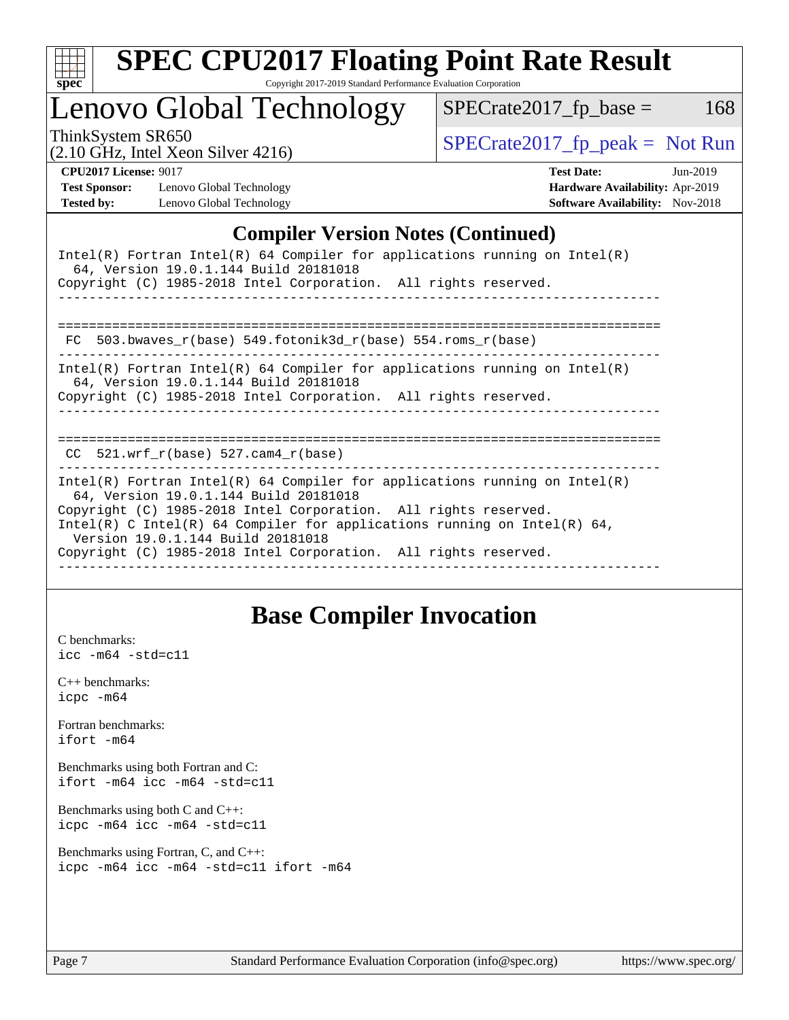| S<br>ne<br>÷ |  |  |  |  |  |  |  |
|--------------|--|--|--|--|--|--|--|

## Lenovo Global Technology

ThinkSystem SR650<br>  $\begin{array}{r} \text{SPECrate2017\_fp\_peak = Not Run} \\ \text{SPECrate2017\_fp\_peak = Not Run} \end{array}$ 

 $SPECTate2017_fp\_base = 168$ 

(2.10 GHz, Intel Xeon Silver 4216)

**[CPU2017 License:](http://www.spec.org/auto/cpu2017/Docs/result-fields.html#CPU2017License)** 9017 **[Test Date:](http://www.spec.org/auto/cpu2017/Docs/result-fields.html#TestDate)** Jun-2019 **[Test Sponsor:](http://www.spec.org/auto/cpu2017/Docs/result-fields.html#TestSponsor)** Lenovo Global Technology **[Hardware Availability:](http://www.spec.org/auto/cpu2017/Docs/result-fields.html#HardwareAvailability)** Apr-2019 **[Tested by:](http://www.spec.org/auto/cpu2017/Docs/result-fields.html#Testedby)** Lenovo Global Technology **[Software Availability:](http://www.spec.org/auto/cpu2017/Docs/result-fields.html#SoftwareAvailability)** Nov-2018

### **[Compiler Version Notes \(Continued\)](http://www.spec.org/auto/cpu2017/Docs/result-fields.html#CompilerVersionNotes)**

| Intel(R) Fortran Intel(R) 64 Compiler for applications running on Intel(R)<br>64, Version 19.0.1.144 Build 20181018<br>Copyright (C) 1985-2018 Intel Corporation. All rights reserved.                                                                                                                                                                                     |
|----------------------------------------------------------------------------------------------------------------------------------------------------------------------------------------------------------------------------------------------------------------------------------------------------------------------------------------------------------------------------|
| FC 503.bwaves_r(base) 549.fotonik3d_r(base) 554.roms_r(base)                                                                                                                                                                                                                                                                                                               |
| $Intel(R)$ Fortran Intel(R) 64 Compiler for applications running on Intel(R)<br>64, Version 19.0.1.144 Build 20181018<br>Copyright (C) 1985-2018 Intel Corporation. All rights reserved.                                                                                                                                                                                   |
| ===========<br>$CC$ 521.wrf $r(base)$ 527.cam4 $r(base)$                                                                                                                                                                                                                                                                                                                   |
| Intel(R) Fortran Intel(R) 64 Compiler for applications running on Intel(R)<br>64, Version 19.0.1.144 Build 20181018<br>Copyright (C) 1985-2018 Intel Corporation. All rights reserved.<br>Intel(R) C Intel(R) 64 Compiler for applications running on Intel(R) 64,<br>Version 19.0.1.144 Build 20181018<br>Copyright (C) 1985-2018 Intel Corporation. All rights reserved. |

## **[Base Compiler Invocation](http://www.spec.org/auto/cpu2017/Docs/result-fields.html#BaseCompilerInvocation)**

[C benchmarks](http://www.spec.org/auto/cpu2017/Docs/result-fields.html#Cbenchmarks): [icc -m64 -std=c11](http://www.spec.org/cpu2017/results/res2019q3/cpu2017-20190708-16011.flags.html#user_CCbase_intel_icc_64bit_c11_33ee0cdaae7deeeab2a9725423ba97205ce30f63b9926c2519791662299b76a0318f32ddfffdc46587804de3178b4f9328c46fa7c2b0cd779d7a61945c91cd35)

[C++ benchmarks:](http://www.spec.org/auto/cpu2017/Docs/result-fields.html#CXXbenchmarks) [icpc -m64](http://www.spec.org/cpu2017/results/res2019q3/cpu2017-20190708-16011.flags.html#user_CXXbase_intel_icpc_64bit_4ecb2543ae3f1412ef961e0650ca070fec7b7afdcd6ed48761b84423119d1bf6bdf5cad15b44d48e7256388bc77273b966e5eb805aefd121eb22e9299b2ec9d9)

[Fortran benchmarks](http://www.spec.org/auto/cpu2017/Docs/result-fields.html#Fortranbenchmarks): [ifort -m64](http://www.spec.org/cpu2017/results/res2019q3/cpu2017-20190708-16011.flags.html#user_FCbase_intel_ifort_64bit_24f2bb282fbaeffd6157abe4f878425411749daecae9a33200eee2bee2fe76f3b89351d69a8130dd5949958ce389cf37ff59a95e7a40d588e8d3a57e0c3fd751)

[Benchmarks using both Fortran and C](http://www.spec.org/auto/cpu2017/Docs/result-fields.html#BenchmarksusingbothFortranandC): [ifort -m64](http://www.spec.org/cpu2017/results/res2019q3/cpu2017-20190708-16011.flags.html#user_CC_FCbase_intel_ifort_64bit_24f2bb282fbaeffd6157abe4f878425411749daecae9a33200eee2bee2fe76f3b89351d69a8130dd5949958ce389cf37ff59a95e7a40d588e8d3a57e0c3fd751) [icc -m64 -std=c11](http://www.spec.org/cpu2017/results/res2019q3/cpu2017-20190708-16011.flags.html#user_CC_FCbase_intel_icc_64bit_c11_33ee0cdaae7deeeab2a9725423ba97205ce30f63b9926c2519791662299b76a0318f32ddfffdc46587804de3178b4f9328c46fa7c2b0cd779d7a61945c91cd35)

[Benchmarks using both C and C++](http://www.spec.org/auto/cpu2017/Docs/result-fields.html#BenchmarksusingbothCandCXX): [icpc -m64](http://www.spec.org/cpu2017/results/res2019q3/cpu2017-20190708-16011.flags.html#user_CC_CXXbase_intel_icpc_64bit_4ecb2543ae3f1412ef961e0650ca070fec7b7afdcd6ed48761b84423119d1bf6bdf5cad15b44d48e7256388bc77273b966e5eb805aefd121eb22e9299b2ec9d9) [icc -m64 -std=c11](http://www.spec.org/cpu2017/results/res2019q3/cpu2017-20190708-16011.flags.html#user_CC_CXXbase_intel_icc_64bit_c11_33ee0cdaae7deeeab2a9725423ba97205ce30f63b9926c2519791662299b76a0318f32ddfffdc46587804de3178b4f9328c46fa7c2b0cd779d7a61945c91cd35)

```
Benchmarks using Fortran, C, and C++: 
icpc -m64 icc -m64 -std=c11 ifort -m64
```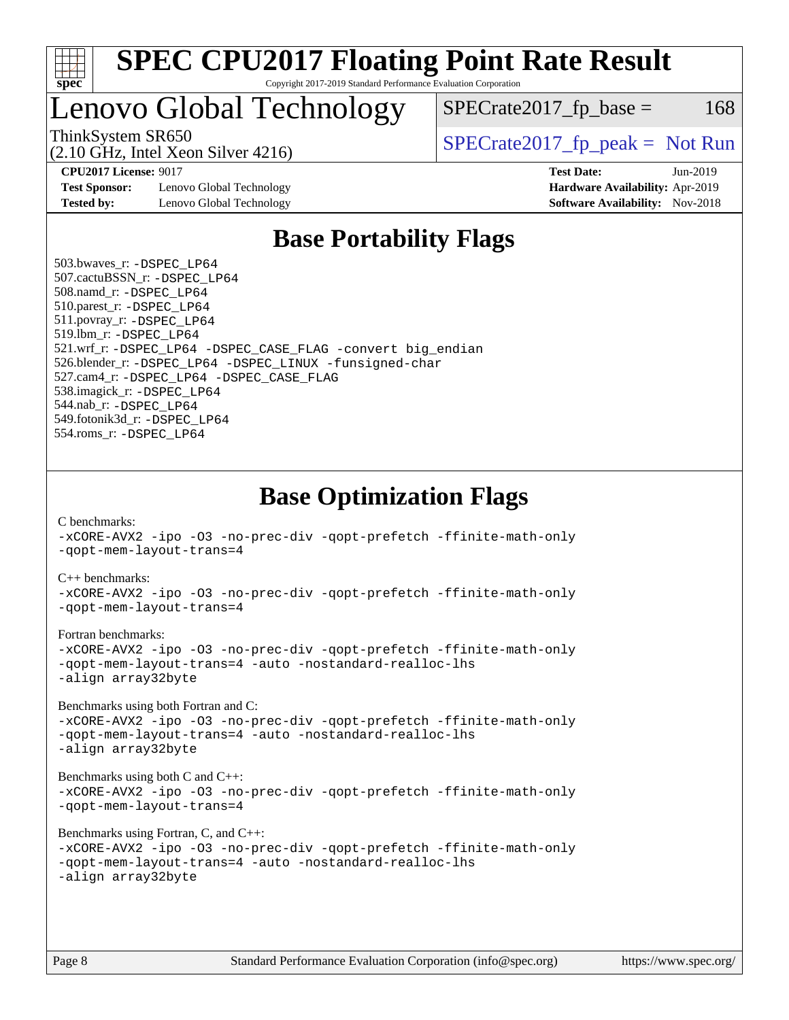

# Lenovo Global Technology

ThinkSystem SR650<br>  $SPECrate2017$  fp\_peak = Not Run

 $SPECTate2017<sub>fr</sub> base = 168$ 

(2.10 GHz, Intel Xeon Silver 4216)

**[Test Sponsor:](http://www.spec.org/auto/cpu2017/Docs/result-fields.html#TestSponsor)** Lenovo Global Technology **[Hardware Availability:](http://www.spec.org/auto/cpu2017/Docs/result-fields.html#HardwareAvailability)** Apr-2019 **[Tested by:](http://www.spec.org/auto/cpu2017/Docs/result-fields.html#Testedby)** Lenovo Global Technology **[Software Availability:](http://www.spec.org/auto/cpu2017/Docs/result-fields.html#SoftwareAvailability)** Nov-2018

**[CPU2017 License:](http://www.spec.org/auto/cpu2017/Docs/result-fields.html#CPU2017License)** 9017 **[Test Date:](http://www.spec.org/auto/cpu2017/Docs/result-fields.html#TestDate)** Jun-2019

## **[Base Portability Flags](http://www.spec.org/auto/cpu2017/Docs/result-fields.html#BasePortabilityFlags)**

 503.bwaves\_r: [-DSPEC\\_LP64](http://www.spec.org/cpu2017/results/res2019q3/cpu2017-20190708-16011.flags.html#suite_basePORTABILITY503_bwaves_r_DSPEC_LP64) 507.cactuBSSN\_r: [-DSPEC\\_LP64](http://www.spec.org/cpu2017/results/res2019q3/cpu2017-20190708-16011.flags.html#suite_basePORTABILITY507_cactuBSSN_r_DSPEC_LP64) 508.namd\_r: [-DSPEC\\_LP64](http://www.spec.org/cpu2017/results/res2019q3/cpu2017-20190708-16011.flags.html#suite_basePORTABILITY508_namd_r_DSPEC_LP64) 510.parest\_r: [-DSPEC\\_LP64](http://www.spec.org/cpu2017/results/res2019q3/cpu2017-20190708-16011.flags.html#suite_basePORTABILITY510_parest_r_DSPEC_LP64) 511.povray\_r: [-DSPEC\\_LP64](http://www.spec.org/cpu2017/results/res2019q3/cpu2017-20190708-16011.flags.html#suite_basePORTABILITY511_povray_r_DSPEC_LP64) 519.lbm\_r: [-DSPEC\\_LP64](http://www.spec.org/cpu2017/results/res2019q3/cpu2017-20190708-16011.flags.html#suite_basePORTABILITY519_lbm_r_DSPEC_LP64) 521.wrf\_r: [-DSPEC\\_LP64](http://www.spec.org/cpu2017/results/res2019q3/cpu2017-20190708-16011.flags.html#suite_basePORTABILITY521_wrf_r_DSPEC_LP64) [-DSPEC\\_CASE\\_FLAG](http://www.spec.org/cpu2017/results/res2019q3/cpu2017-20190708-16011.flags.html#b521.wrf_r_baseCPORTABILITY_DSPEC_CASE_FLAG) [-convert big\\_endian](http://www.spec.org/cpu2017/results/res2019q3/cpu2017-20190708-16011.flags.html#user_baseFPORTABILITY521_wrf_r_convert_big_endian_c3194028bc08c63ac5d04de18c48ce6d347e4e562e8892b8bdbdc0214820426deb8554edfa529a3fb25a586e65a3d812c835984020483e7e73212c4d31a38223) 526.blender\_r: [-DSPEC\\_LP64](http://www.spec.org/cpu2017/results/res2019q3/cpu2017-20190708-16011.flags.html#suite_basePORTABILITY526_blender_r_DSPEC_LP64) [-DSPEC\\_LINUX](http://www.spec.org/cpu2017/results/res2019q3/cpu2017-20190708-16011.flags.html#b526.blender_r_baseCPORTABILITY_DSPEC_LINUX) [-funsigned-char](http://www.spec.org/cpu2017/results/res2019q3/cpu2017-20190708-16011.flags.html#user_baseCPORTABILITY526_blender_r_force_uchar_40c60f00ab013830e2dd6774aeded3ff59883ba5a1fc5fc14077f794d777847726e2a5858cbc7672e36e1b067e7e5c1d9a74f7176df07886a243d7cc18edfe67) 527.cam4\_r: [-DSPEC\\_LP64](http://www.spec.org/cpu2017/results/res2019q3/cpu2017-20190708-16011.flags.html#suite_basePORTABILITY527_cam4_r_DSPEC_LP64) [-DSPEC\\_CASE\\_FLAG](http://www.spec.org/cpu2017/results/res2019q3/cpu2017-20190708-16011.flags.html#b527.cam4_r_baseCPORTABILITY_DSPEC_CASE_FLAG) 538.imagick\_r: [-DSPEC\\_LP64](http://www.spec.org/cpu2017/results/res2019q3/cpu2017-20190708-16011.flags.html#suite_basePORTABILITY538_imagick_r_DSPEC_LP64) 544.nab\_r: [-DSPEC\\_LP64](http://www.spec.org/cpu2017/results/res2019q3/cpu2017-20190708-16011.flags.html#suite_basePORTABILITY544_nab_r_DSPEC_LP64) 549.fotonik3d\_r: [-DSPEC\\_LP64](http://www.spec.org/cpu2017/results/res2019q3/cpu2017-20190708-16011.flags.html#suite_basePORTABILITY549_fotonik3d_r_DSPEC_LP64) 554.roms\_r: [-DSPEC\\_LP64](http://www.spec.org/cpu2017/results/res2019q3/cpu2017-20190708-16011.flags.html#suite_basePORTABILITY554_roms_r_DSPEC_LP64)

**[Base Optimization Flags](http://www.spec.org/auto/cpu2017/Docs/result-fields.html#BaseOptimizationFlags)**

[C benchmarks](http://www.spec.org/auto/cpu2017/Docs/result-fields.html#Cbenchmarks):

[-xCORE-AVX2](http://www.spec.org/cpu2017/results/res2019q3/cpu2017-20190708-16011.flags.html#user_CCbase_f-xCORE-AVX2) [-ipo](http://www.spec.org/cpu2017/results/res2019q3/cpu2017-20190708-16011.flags.html#user_CCbase_f-ipo) [-O3](http://www.spec.org/cpu2017/results/res2019q3/cpu2017-20190708-16011.flags.html#user_CCbase_f-O3) [-no-prec-div](http://www.spec.org/cpu2017/results/res2019q3/cpu2017-20190708-16011.flags.html#user_CCbase_f-no-prec-div) [-qopt-prefetch](http://www.spec.org/cpu2017/results/res2019q3/cpu2017-20190708-16011.flags.html#user_CCbase_f-qopt-prefetch) [-ffinite-math-only](http://www.spec.org/cpu2017/results/res2019q3/cpu2017-20190708-16011.flags.html#user_CCbase_f_finite_math_only_cb91587bd2077682c4b38af759c288ed7c732db004271a9512da14a4f8007909a5f1427ecbf1a0fb78ff2a814402c6114ac565ca162485bbcae155b5e4258871) [-qopt-mem-layout-trans=4](http://www.spec.org/cpu2017/results/res2019q3/cpu2017-20190708-16011.flags.html#user_CCbase_f-qopt-mem-layout-trans_fa39e755916c150a61361b7846f310bcdf6f04e385ef281cadf3647acec3f0ae266d1a1d22d972a7087a248fd4e6ca390a3634700869573d231a252c784941a8) [C++ benchmarks:](http://www.spec.org/auto/cpu2017/Docs/result-fields.html#CXXbenchmarks) [-xCORE-AVX2](http://www.spec.org/cpu2017/results/res2019q3/cpu2017-20190708-16011.flags.html#user_CXXbase_f-xCORE-AVX2) [-ipo](http://www.spec.org/cpu2017/results/res2019q3/cpu2017-20190708-16011.flags.html#user_CXXbase_f-ipo) [-O3](http://www.spec.org/cpu2017/results/res2019q3/cpu2017-20190708-16011.flags.html#user_CXXbase_f-O3) [-no-prec-div](http://www.spec.org/cpu2017/results/res2019q3/cpu2017-20190708-16011.flags.html#user_CXXbase_f-no-prec-div) [-qopt-prefetch](http://www.spec.org/cpu2017/results/res2019q3/cpu2017-20190708-16011.flags.html#user_CXXbase_f-qopt-prefetch) [-ffinite-math-only](http://www.spec.org/cpu2017/results/res2019q3/cpu2017-20190708-16011.flags.html#user_CXXbase_f_finite_math_only_cb91587bd2077682c4b38af759c288ed7c732db004271a9512da14a4f8007909a5f1427ecbf1a0fb78ff2a814402c6114ac565ca162485bbcae155b5e4258871) [-qopt-mem-layout-trans=4](http://www.spec.org/cpu2017/results/res2019q3/cpu2017-20190708-16011.flags.html#user_CXXbase_f-qopt-mem-layout-trans_fa39e755916c150a61361b7846f310bcdf6f04e385ef281cadf3647acec3f0ae266d1a1d22d972a7087a248fd4e6ca390a3634700869573d231a252c784941a8) [Fortran benchmarks](http://www.spec.org/auto/cpu2017/Docs/result-fields.html#Fortranbenchmarks): [-xCORE-AVX2](http://www.spec.org/cpu2017/results/res2019q3/cpu2017-20190708-16011.flags.html#user_FCbase_f-xCORE-AVX2) [-ipo](http://www.spec.org/cpu2017/results/res2019q3/cpu2017-20190708-16011.flags.html#user_FCbase_f-ipo) [-O3](http://www.spec.org/cpu2017/results/res2019q3/cpu2017-20190708-16011.flags.html#user_FCbase_f-O3) [-no-prec-div](http://www.spec.org/cpu2017/results/res2019q3/cpu2017-20190708-16011.flags.html#user_FCbase_f-no-prec-div) [-qopt-prefetch](http://www.spec.org/cpu2017/results/res2019q3/cpu2017-20190708-16011.flags.html#user_FCbase_f-qopt-prefetch) [-ffinite-math-only](http://www.spec.org/cpu2017/results/res2019q3/cpu2017-20190708-16011.flags.html#user_FCbase_f_finite_math_only_cb91587bd2077682c4b38af759c288ed7c732db004271a9512da14a4f8007909a5f1427ecbf1a0fb78ff2a814402c6114ac565ca162485bbcae155b5e4258871) [-qopt-mem-layout-trans=4](http://www.spec.org/cpu2017/results/res2019q3/cpu2017-20190708-16011.flags.html#user_FCbase_f-qopt-mem-layout-trans_fa39e755916c150a61361b7846f310bcdf6f04e385ef281cadf3647acec3f0ae266d1a1d22d972a7087a248fd4e6ca390a3634700869573d231a252c784941a8) [-auto](http://www.spec.org/cpu2017/results/res2019q3/cpu2017-20190708-16011.flags.html#user_FCbase_f-auto) [-nostandard-realloc-lhs](http://www.spec.org/cpu2017/results/res2019q3/cpu2017-20190708-16011.flags.html#user_FCbase_f_2003_std_realloc_82b4557e90729c0f113870c07e44d33d6f5a304b4f63d4c15d2d0f1fab99f5daaed73bdb9275d9ae411527f28b936061aa8b9c8f2d63842963b95c9dd6426b8a) [-align array32byte](http://www.spec.org/cpu2017/results/res2019q3/cpu2017-20190708-16011.flags.html#user_FCbase_align_array32byte_b982fe038af199962ba9a80c053b8342c548c85b40b8e86eb3cc33dee0d7986a4af373ac2d51c3f7cf710a18d62fdce2948f201cd044323541f22fc0fffc51b6) [Benchmarks using both Fortran and C](http://www.spec.org/auto/cpu2017/Docs/result-fields.html#BenchmarksusingbothFortranandC): [-xCORE-AVX2](http://www.spec.org/cpu2017/results/res2019q3/cpu2017-20190708-16011.flags.html#user_CC_FCbase_f-xCORE-AVX2) [-ipo](http://www.spec.org/cpu2017/results/res2019q3/cpu2017-20190708-16011.flags.html#user_CC_FCbase_f-ipo) [-O3](http://www.spec.org/cpu2017/results/res2019q3/cpu2017-20190708-16011.flags.html#user_CC_FCbase_f-O3) [-no-prec-div](http://www.spec.org/cpu2017/results/res2019q3/cpu2017-20190708-16011.flags.html#user_CC_FCbase_f-no-prec-div) [-qopt-prefetch](http://www.spec.org/cpu2017/results/res2019q3/cpu2017-20190708-16011.flags.html#user_CC_FCbase_f-qopt-prefetch) [-ffinite-math-only](http://www.spec.org/cpu2017/results/res2019q3/cpu2017-20190708-16011.flags.html#user_CC_FCbase_f_finite_math_only_cb91587bd2077682c4b38af759c288ed7c732db004271a9512da14a4f8007909a5f1427ecbf1a0fb78ff2a814402c6114ac565ca162485bbcae155b5e4258871) [-qopt-mem-layout-trans=4](http://www.spec.org/cpu2017/results/res2019q3/cpu2017-20190708-16011.flags.html#user_CC_FCbase_f-qopt-mem-layout-trans_fa39e755916c150a61361b7846f310bcdf6f04e385ef281cadf3647acec3f0ae266d1a1d22d972a7087a248fd4e6ca390a3634700869573d231a252c784941a8) [-auto](http://www.spec.org/cpu2017/results/res2019q3/cpu2017-20190708-16011.flags.html#user_CC_FCbase_f-auto) [-nostandard-realloc-lhs](http://www.spec.org/cpu2017/results/res2019q3/cpu2017-20190708-16011.flags.html#user_CC_FCbase_f_2003_std_realloc_82b4557e90729c0f113870c07e44d33d6f5a304b4f63d4c15d2d0f1fab99f5daaed73bdb9275d9ae411527f28b936061aa8b9c8f2d63842963b95c9dd6426b8a) [-align array32byte](http://www.spec.org/cpu2017/results/res2019q3/cpu2017-20190708-16011.flags.html#user_CC_FCbase_align_array32byte_b982fe038af199962ba9a80c053b8342c548c85b40b8e86eb3cc33dee0d7986a4af373ac2d51c3f7cf710a18d62fdce2948f201cd044323541f22fc0fffc51b6) [Benchmarks using both C and C++](http://www.spec.org/auto/cpu2017/Docs/result-fields.html#BenchmarksusingbothCandCXX): [-xCORE-AVX2](http://www.spec.org/cpu2017/results/res2019q3/cpu2017-20190708-16011.flags.html#user_CC_CXXbase_f-xCORE-AVX2) [-ipo](http://www.spec.org/cpu2017/results/res2019q3/cpu2017-20190708-16011.flags.html#user_CC_CXXbase_f-ipo) [-O3](http://www.spec.org/cpu2017/results/res2019q3/cpu2017-20190708-16011.flags.html#user_CC_CXXbase_f-O3) [-no-prec-div](http://www.spec.org/cpu2017/results/res2019q3/cpu2017-20190708-16011.flags.html#user_CC_CXXbase_f-no-prec-div) [-qopt-prefetch](http://www.spec.org/cpu2017/results/res2019q3/cpu2017-20190708-16011.flags.html#user_CC_CXXbase_f-qopt-prefetch) [-ffinite-math-only](http://www.spec.org/cpu2017/results/res2019q3/cpu2017-20190708-16011.flags.html#user_CC_CXXbase_f_finite_math_only_cb91587bd2077682c4b38af759c288ed7c732db004271a9512da14a4f8007909a5f1427ecbf1a0fb78ff2a814402c6114ac565ca162485bbcae155b5e4258871) [-qopt-mem-layout-trans=4](http://www.spec.org/cpu2017/results/res2019q3/cpu2017-20190708-16011.flags.html#user_CC_CXXbase_f-qopt-mem-layout-trans_fa39e755916c150a61361b7846f310bcdf6f04e385ef281cadf3647acec3f0ae266d1a1d22d972a7087a248fd4e6ca390a3634700869573d231a252c784941a8) [Benchmarks using Fortran, C, and C++:](http://www.spec.org/auto/cpu2017/Docs/result-fields.html#BenchmarksusingFortranCandCXX) [-xCORE-AVX2](http://www.spec.org/cpu2017/results/res2019q3/cpu2017-20190708-16011.flags.html#user_CC_CXX_FCbase_f-xCORE-AVX2) [-ipo](http://www.spec.org/cpu2017/results/res2019q3/cpu2017-20190708-16011.flags.html#user_CC_CXX_FCbase_f-ipo) [-O3](http://www.spec.org/cpu2017/results/res2019q3/cpu2017-20190708-16011.flags.html#user_CC_CXX_FCbase_f-O3) [-no-prec-div](http://www.spec.org/cpu2017/results/res2019q3/cpu2017-20190708-16011.flags.html#user_CC_CXX_FCbase_f-no-prec-div) [-qopt-prefetch](http://www.spec.org/cpu2017/results/res2019q3/cpu2017-20190708-16011.flags.html#user_CC_CXX_FCbase_f-qopt-prefetch) [-ffinite-math-only](http://www.spec.org/cpu2017/results/res2019q3/cpu2017-20190708-16011.flags.html#user_CC_CXX_FCbase_f_finite_math_only_cb91587bd2077682c4b38af759c288ed7c732db004271a9512da14a4f8007909a5f1427ecbf1a0fb78ff2a814402c6114ac565ca162485bbcae155b5e4258871) [-qopt-mem-layout-trans=4](http://www.spec.org/cpu2017/results/res2019q3/cpu2017-20190708-16011.flags.html#user_CC_CXX_FCbase_f-qopt-mem-layout-trans_fa39e755916c150a61361b7846f310bcdf6f04e385ef281cadf3647acec3f0ae266d1a1d22d972a7087a248fd4e6ca390a3634700869573d231a252c784941a8) [-auto](http://www.spec.org/cpu2017/results/res2019q3/cpu2017-20190708-16011.flags.html#user_CC_CXX_FCbase_f-auto) [-nostandard-realloc-lhs](http://www.spec.org/cpu2017/results/res2019q3/cpu2017-20190708-16011.flags.html#user_CC_CXX_FCbase_f_2003_std_realloc_82b4557e90729c0f113870c07e44d33d6f5a304b4f63d4c15d2d0f1fab99f5daaed73bdb9275d9ae411527f28b936061aa8b9c8f2d63842963b95c9dd6426b8a) [-align array32byte](http://www.spec.org/cpu2017/results/res2019q3/cpu2017-20190708-16011.flags.html#user_CC_CXX_FCbase_align_array32byte_b982fe038af199962ba9a80c053b8342c548c85b40b8e86eb3cc33dee0d7986a4af373ac2d51c3f7cf710a18d62fdce2948f201cd044323541f22fc0fffc51b6)